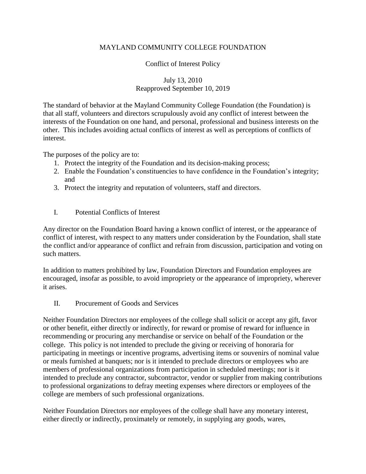## MAYLAND COMMUNITY COLLEGE FOUNDATION

## Conflict of Interest Policy

## July 13, 2010 Reapproved September 10, 2019

The standard of behavior at the Mayland Community College Foundation (the Foundation) is that all staff, volunteers and directors scrupulously avoid any conflict of interest between the interests of the Foundation on one hand, and personal, professional and business interests on the other. This includes avoiding actual conflicts of interest as well as perceptions of conflicts of interest.

The purposes of the policy are to:

- 1. Protect the integrity of the Foundation and its decision-making process;
- 2. Enable the Foundation's constituencies to have confidence in the Foundation's integrity; and
- 3. Protect the integrity and reputation of volunteers, staff and directors.
- I. Potential Conflicts of Interest

Any director on the Foundation Board having a known conflict of interest, or the appearance of conflict of interest, with respect to any matters under consideration by the Foundation, shall state the conflict and/or appearance of conflict and refrain from discussion, participation and voting on such matters.

In addition to matters prohibited by law, Foundation Directors and Foundation employees are encouraged, insofar as possible, to avoid impropriety or the appearance of impropriety, wherever it arises.

II. Procurement of Goods and Services

Neither Foundation Directors nor employees of the college shall solicit or accept any gift, favor or other benefit, either directly or indirectly, for reward or promise of reward for influence in recommending or procuring any merchandise or service on behalf of the Foundation or the college. This policy is not intended to preclude the giving or receiving of honoraria for participating in meetings or incentive programs, advertising items or souvenirs of nominal value or meals furnished at banquets; nor is it intended to preclude directors or employees who are members of professional organizations from participation in scheduled meetings; nor is it intended to preclude any contractor, subcontractor, vendor or supplier from making contributions to professional organizations to defray meeting expenses where directors or employees of the college are members of such professional organizations.

Neither Foundation Directors nor employees of the college shall have any monetary interest, either directly or indirectly, proximately or remotely, in supplying any goods, wares,